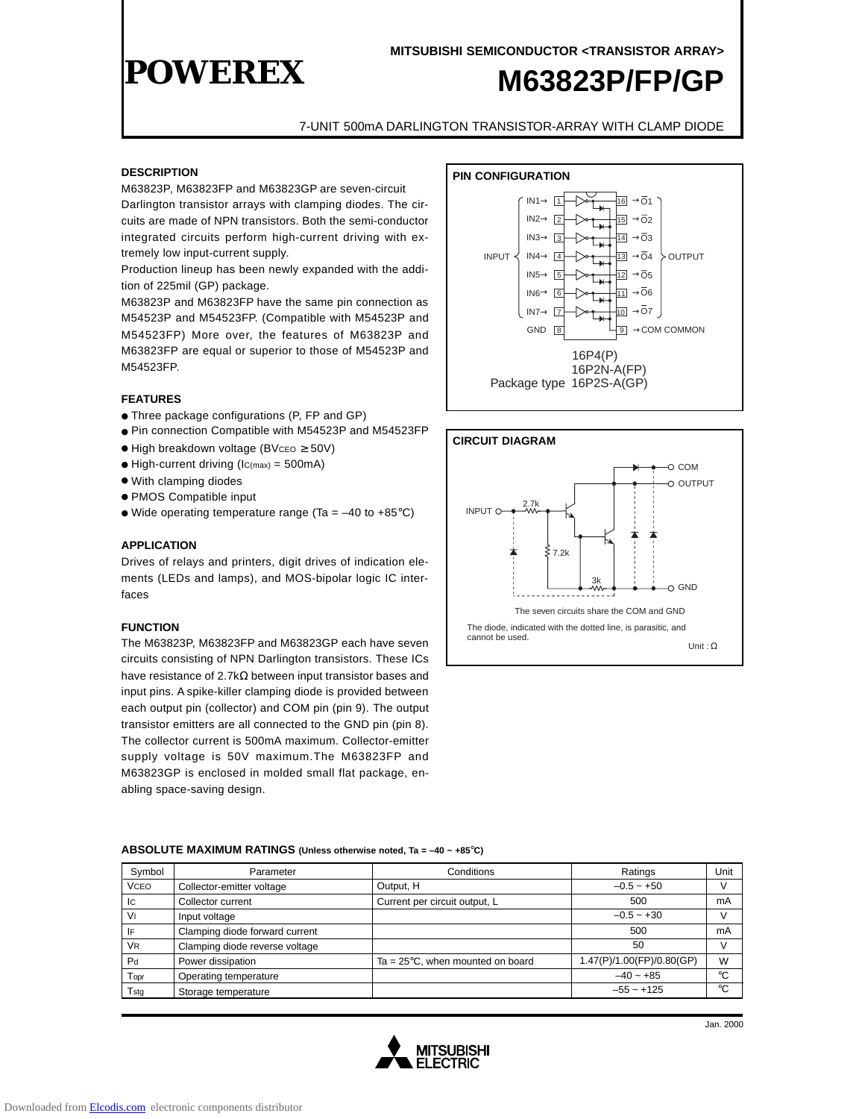

7-UNIT 500mA DARLINGTON TRANSISTOR-ARRAY WITH CLAMP DIODE

#### **DESCRIPTION**

M63823P, M63823FP and M63823GP are seven-circuit Darlington transistor arrays with clamping diodes. The circuits are made of NPN transistors. Both the semi-conductor integrated circuits perform high-current driving with extremely low input-current supply.

Production lineup has been newly expanded with the addition of 225mil (GP) package.

M63823P and M63823FP have the same pin connection as M54523P and M54523FP. (Compatible with M54523P and M54523FP) More over, the features of M63823P and M63823FP are equal or superior to those of M54523P and M54523FP.

#### **FEATURES**

- Three package configurations (P, FP and GP)
- Pin connection Compatible with M54523P and M54523FP
- $\bullet$  High breakdown voltage (BVcEO  $\geq$  50V)
- $\bullet$  High-current driving (Ic(max) = 500mA)
- With clamping diodes
- PMOS Compatible input
- Wide operating temperature range (Ta =  $-40$  to  $+85^{\circ}$ C)

#### **APPLICATION**

Drives of relays and printers, digit drives of indication elements (LEDs and lamps), and MOS-bipolar logic IC interfaces

#### **FUNCTION**

The M63823P, M63823FP and M63823GP each have seven circuits consisting of NPN Darlington transistors. These ICs have resistance of 2.7k $\Omega$  between input transistor bases and input pins. A spike-killer clamping diode is provided between each output pin (collector) and COM pin (pin 9). The output transistor emitters are all connected to the GND pin (pin 8). The collector current is 500mA maximum. Collector-emitter supply voltage is 50V maximum.The M63823FP and M63823GP is enclosed in molded small flat package, enabling space-saving design.





#### **ABSOLUTE MAXIMUM RATINGS (Unless otherwise noted, Ta = –40 ~ +85**°**C)**

| Symbol         | Parameter                      | Conditions                                 | Ratings                   | Unit   |
|----------------|--------------------------------|--------------------------------------------|---------------------------|--------|
| <b>VCEO</b>    | Collector-emitter voltage      | Output, H                                  | $-0.5 - +50$              | V      |
| Iс             | Collector current              | Current per circuit output, L              | 500                       | mA     |
| Vı             | Input voltage                  |                                            | $-0.5 - +30$              | $\vee$ |
| IF             | Clamping diode forward current |                                            | 500                       | mA     |
| <b>VR</b>      | Clamping diode reverse voltage |                                            | 50                        | $\vee$ |
| P <sub>d</sub> | Power dissipation              | Ta = $25^{\circ}$ C, when mounted on board | 1.47(P)/1.00(FP)/0.80(GP) | W      |
| Topr           | Operating temperature          |                                            | $-40 - +85$               | °C     |
| Tstg           | Storage temperature            |                                            | $-55 - +125$              | °C     |



Jan. 2000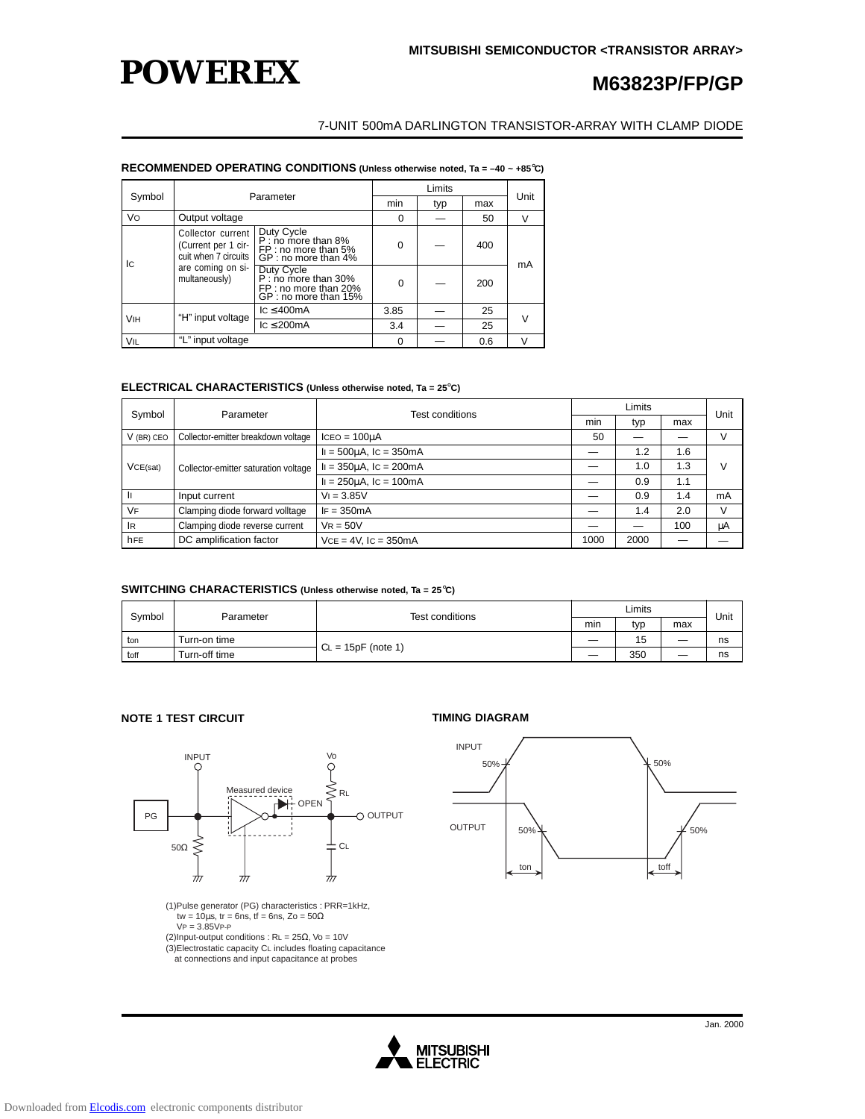

### 7-UNIT 500mA DARLINGTON TRANSISTOR-ARRAY WITH CLAMP DIODE

#### **RECOMMENDED OPERATING CONDITIONS (Unless otherwise noted, Ta = –40 ~ +85**°**C)**

|                       | Parameter                                                                                              |                                                                                     |          |     |     |        |
|-----------------------|--------------------------------------------------------------------------------------------------------|-------------------------------------------------------------------------------------|----------|-----|-----|--------|
| Symbol                |                                                                                                        |                                                                                     | min      | typ | max | Unit   |
| Vo                    | Output voltage                                                                                         |                                                                                     | 0        |     | 50  | $\vee$ |
| l Ic                  | Collector current<br>(Current per 1 cir-<br>cuit when 7 circuits<br>are coming on si-<br>multaneously) | Duty Cycle<br>P : no more than 8%<br>FP : no more than 5%<br>GP : no more than 4%   | $\Omega$ |     | 400 | mA     |
|                       |                                                                                                        | Duty Cycle<br>P: no more than 30%<br>FP : no more than 20%<br>GP : no more than 15% | $\Omega$ |     | 200 |        |
| <b>V<sub>IH</sub></b> | "H" input voltage                                                                                      | lc < 400mA                                                                          | 3.85     |     | 25  |        |
|                       |                                                                                                        | $\text{IC} \leq 200 \text{mA}$                                                      | 3.4      |     | 25  |        |
| <b>VIL</b>            | "L" input voltage                                                                                      |                                                                                     | $\Omega$ |     | 0.6 | V      |

#### **ELECTRICAL CHARACTERISTICS (Unless otherwise noted, Ta = 25**°**C)**

| Symbol     | Parameter                            | <b>Test conditions</b>       | Limits |      |     | Unit   |
|------------|--------------------------------------|------------------------------|--------|------|-----|--------|
|            |                                      |                              | min    | typ  | max |        |
| V (BR) CEO | Collector-emitter breakdown voltage  | $ICEO = 100uA$               | 50     |      |     | $\vee$ |
|            | Collector-emitter saturation voltage | $I = 500 \mu A$ , Ic = 350mA |        | 1.2  | 1.6 |        |
| VCE(sat)   |                                      | $I = 350 \mu A$ , Ic = 200mA |        | 1.0  | 1.3 | V      |
|            |                                      | $I = 250 \mu A$ , Ic = 100mA |        | 0.9  | 1.1 |        |
| -li        | Input current                        | $V = 3.85V$                  |        | 0.9  | 1.4 | mA     |
| <b>VF</b>  | Clamping diode forward volltage      | $IF = 350mA$                 |        | 1.4  | 2.0 | V      |
| IR         | Clamping diode reverse current       | $VR = 50V$                   |        |      | 100 | μA     |
| hFE        | DC amplification factor              | $VCE = 4V$ . IC = 350mA      | 1000   | 2000 |     |        |

#### **SWITCHING CHARACTERISTICS (Unless otherwise noted, Ta = 25**°**C)**

| Symbol | Parameter     | Test conditions      | Limits |     |     | Unit |
|--------|---------------|----------------------|--------|-----|-----|------|
|        |               |                      | min    | tvo | max |      |
| ton    | Turn-on time  |                      |        | 15  |     | ns   |
| toff   | Turn-off time | $CL = 15pF$ (note 1) |        | 350 |     | ns   |

### **NOTE 1 TEST CIRCUIT TIMING DIAGRAM**



(1)Pulse generator (PG) characteristics : PRR=1kHz, tw =  $10\mu s$ , tr = 6ns, tf = 6ns, Zo =  $50\Omega$  $VP = 3.85VP-P$ 

(2)Input-output conditions : RL = 25Ω, Vo = 10V (3)Electrostatic capacity CL includes floating capacitance

at connections and input capacitance at probes



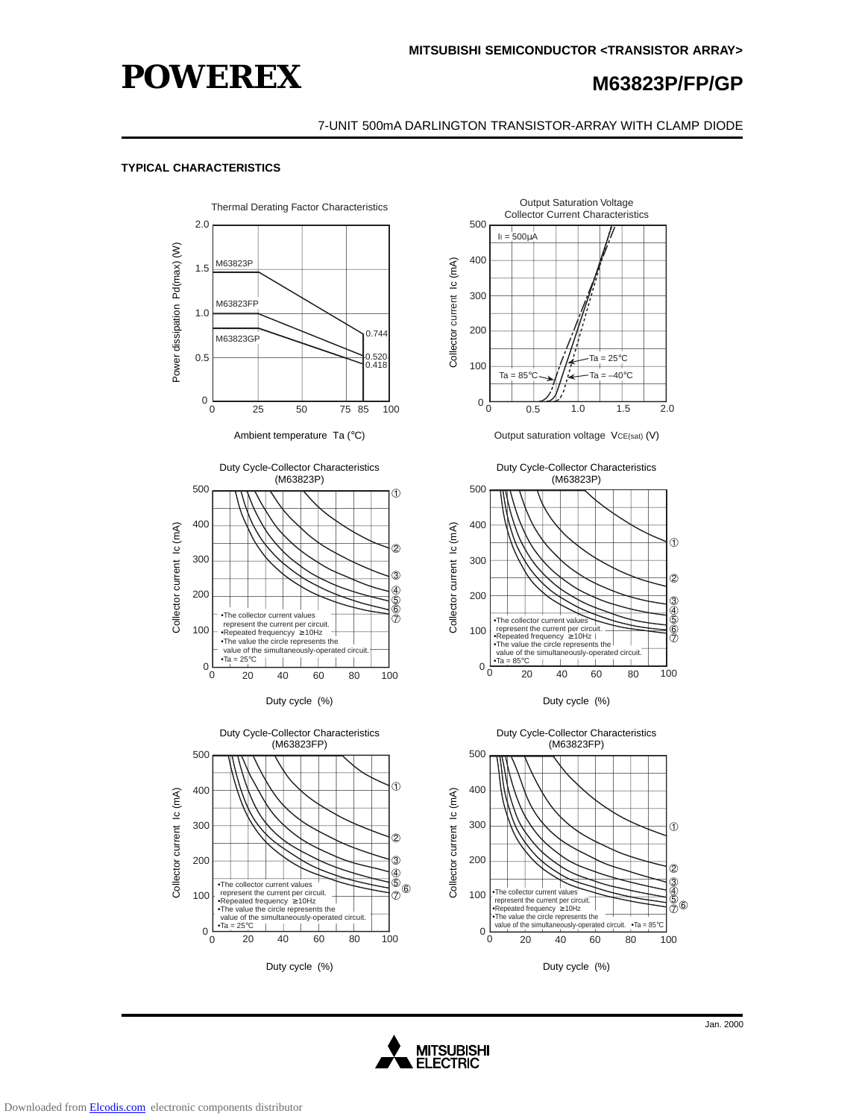

#### 7-UNIT 500mA DARLINGTON TRANSISTOR-ARRAY WITH CLAMP DIODE

#### **TYPICAL CHARACTERISTICS**



Duty cycle (%)









Duty cycle (%)